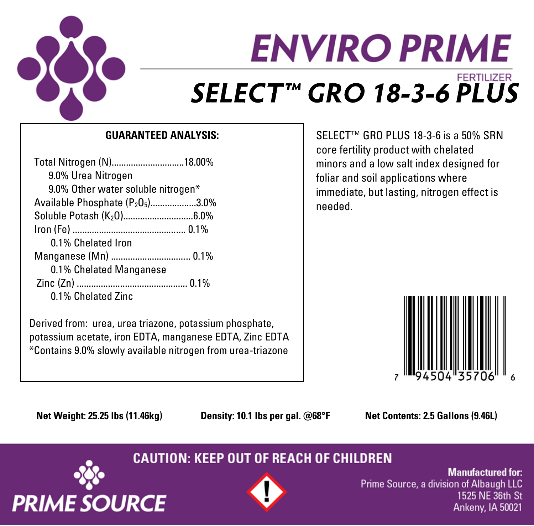

# **ENVIRO PRIME FERTILIZER** SELECT™ GRO 18-3-6 PLUS

### **GUARANTEED ANALYSIS:**

| Total Nitrogen (N)18.00%                                 |  |
|----------------------------------------------------------|--|
| 9.0% Urea Nitrogen                                       |  |
| 9.0% Other water soluble nitrogen*                       |  |
| Available Phosphate (P <sub>2</sub> O <sub>5</sub> )3.0% |  |
| Soluble Potash (K <sub>2</sub> 0)6.0%                    |  |
|                                                          |  |
| 0.1% Chelated Iron                                       |  |
| Manganese (Mn)  0.1%                                     |  |
| 0.1% Chelated Manganese                                  |  |
|                                                          |  |
| 0.1% Chelated Zinc                                       |  |

Derived from: urea, urea triazone, potassium phosphate, potassium acetate, iron EDTA, manganese EDTA, Zinc EDTA \*Contains 9.0% slowly available nitrogen from urea-triazone

SELECT™ GRO PLUS 18-3-6 is a 50% SRN core fertility product with chelated minors and a low salt index designed for foliar and soil applications where immediate, but lasting, nitrogen effect is needed.



**Net Weight: 25.25 lbs (11.46kg) Density: 10.1 lbs per gal. @68°F Net Contents: 2.5 Gallons (9.46L)**

## **CAUTION: KEEP OUT OF REACH OF CHILDREN**





**Manufactured for:** Prime Source, a division of Albaugh LLC 1525 NE 36th St Ankeny, IA 50021